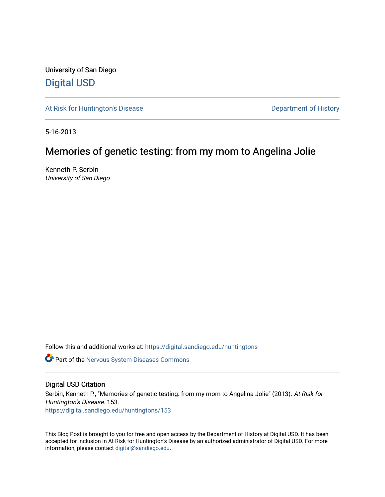University of San Diego [Digital USD](https://digital.sandiego.edu/)

[At Risk for Huntington's Disease](https://digital.sandiego.edu/huntingtons) **Department of History** Department of History

5-16-2013

## Memories of genetic testing: from my mom to Angelina Jolie

Kenneth P. Serbin University of San Diego

Follow this and additional works at: [https://digital.sandiego.edu/huntingtons](https://digital.sandiego.edu/huntingtons?utm_source=digital.sandiego.edu%2Fhuntingtons%2F153&utm_medium=PDF&utm_campaign=PDFCoverPages)

**Part of the [Nervous System Diseases Commons](http://network.bepress.com/hgg/discipline/928?utm_source=digital.sandiego.edu%2Fhuntingtons%2F153&utm_medium=PDF&utm_campaign=PDFCoverPages)** 

## Digital USD Citation

Serbin, Kenneth P., "Memories of genetic testing: from my mom to Angelina Jolie" (2013). At Risk for Huntington's Disease. 153. [https://digital.sandiego.edu/huntingtons/153](https://digital.sandiego.edu/huntingtons/153?utm_source=digital.sandiego.edu%2Fhuntingtons%2F153&utm_medium=PDF&utm_campaign=PDFCoverPages)

This Blog Post is brought to you for free and open access by the Department of History at Digital USD. It has been accepted for inclusion in At Risk for Huntington's Disease by an authorized administrator of Digital USD. For more information, please contact [digital@sandiego.edu.](mailto:digital@sandiego.edu)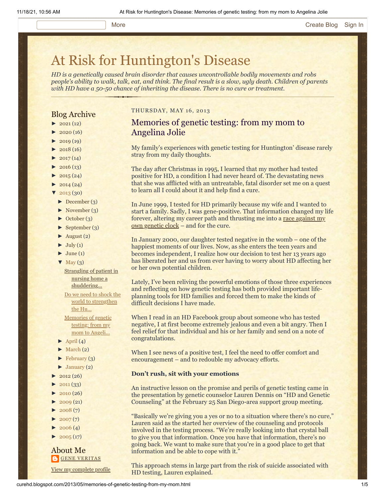#### More **[Create Blog](https://www.blogger.com/home#create) [Sign In](https://www.blogger.com/)**

# [At Risk for Huntington's Disease](http://curehd.blogspot.com/)

*HD is a genetically caused brain disorder that causes uncontrollable bodily movements and robs people's ability to walk, talk, eat, and think. The final result is a slow, ugly death. Children of parents with HD have a 50-50 chance of inheriting the disease. There is no cure or treatment.*

## Blog Archive

- $\blacktriangleright$  [2021](http://curehd.blogspot.com/2021/) (12)
- $2020(16)$  $2020(16)$
- $-2019(19)$  $-2019(19)$  $-2019(19)$
- $\blacktriangleright$  [2018](http://curehd.blogspot.com/2018/) (16)
- $2017(14)$  $2017(14)$
- $2016(13)$  $2016(13)$
- $\blacktriangleright$  [2015](http://curehd.blogspot.com/2015/) (24)
- $\blacktriangleright$  [2014](http://curehd.blogspot.com/2014/) (24)
- [▼](javascript:void(0)) [2013](http://curehd.blogspot.com/2013/) (30)
- [►](javascript:void(0)) [December](http://curehd.blogspot.com/2013/12/) (3)
- [►](javascript:void(0)) [November](http://curehd.blogspot.com/2013/11/) (3)
- [►](javascript:void(0)) [October](http://curehd.blogspot.com/2013/10/) (3)
- [►](javascript:void(0)) [September](http://curehd.blogspot.com/2013/09/) (3)
- $\blacktriangleright$  [August](http://curehd.blogspot.com/2013/08/) (2)
- $\blacktriangleright$  [July](http://curehd.blogspot.com/2013/07/) (1)
- $\blacktriangleright$  [June](http://curehd.blogspot.com/2013/06/) (1)
- $\nabla$  [May](http://curehd.blogspot.com/2013/05/)  $(3)$

**Strangling of patient in** nursing home a [shuddering...](http://curehd.blogspot.com/2013/05/strangling-of-patient-in-nursing-home.html)

Do we need to shock the world to [strengthen](http://curehd.blogspot.com/2013/05/do-we-need-to-shock-world-to-strengthen.html) the Hu... [Memories](http://curehd.blogspot.com/2013/05/memories-of-genetic-testing-from-my-mom.html) of genetic testing: from my mom to Angeli...

- $\blacktriangleright$  [April](http://curehd.blogspot.com/2013/04/) (4)
- $\blacktriangleright$  [March](http://curehd.blogspot.com/2013/03/) (2)
- $\blacktriangleright$  [February](http://curehd.blogspot.com/2013/02/) (3)
- $\blacktriangleright$  [January](http://curehd.blogspot.com/2013/01/) (2)
- $\blacktriangleright$  [2012](http://curehd.blogspot.com/2012/) (26)
- $2011(33)$  $2011(33)$
- $2010(26)$  $2010(26)$
- $-2009(21)$  $-2009(21)$  $-2009(21)$
- $2008(7)$  $2008(7)$
- $\blacktriangleright$  [2007](http://curehd.blogspot.com/2007/) $(7)$
- $\blacktriangleright$  [2006](http://curehd.blogspot.com/2006/) (4)
- $\blacktriangleright$  [2005](http://curehd.blogspot.com/2005/) (17)

#### About Me **GENE [VERITAS](https://www.blogger.com/profile/10911736205741688185)**

View my [complete](https://www.blogger.com/profile/10911736205741688185) profile

#### THURSDAY, MAY 16, 2013

## Memories of genetic testing: from my mom to Angelina Jolie

My family's experiences with genetic testing for Huntington' disease rarely stray from my daily thoughts.

The day after Christmas in 1995, I learned that my mother had tested positive for HD, a condition I had never heard of. The devastating news that she was afflicted with an untreatable, fatal disorder set me on a quest to learn all I could about it and help find a cure.

In June 1999, I tested for HD primarily because my wife and I wanted to start a family. Sadly, I was gene-positive. That information changed my life [forever, altering my career path and thrusting me into a race against my](http://chronicle.com/article/Racing-Against-the-Genetic/135542/) own genetic clock – and for the cure.

In January 2000, our daughter tested negative in the womb – one of the happiest moments of our lives. Now, as she enters the teen years and becomes independent, I realize how our decision to test her 13 years ago has liberated her and us from ever having to worry about HD affecting her or her own potential children.

Lately, I've been reliving the powerful emotions of those three experiences and reflecting on how genetic testing has both provided important lifeplanning tools for HD families and forced them to make the kinds of difficult decisions I have made.

When I read in an HD Facebook group about someone who has tested negative, I at first become extremely jealous and even a bit angry. Then I feel relief for that individual and his or her family and send on a note of congratulations.

When I see news of a positive test, I feel the need to offer comfort and encouragement – and to redouble my advocacy efforts.

#### **Don't rush, sit with your emotions**

An instructive lesson on the promise and perils of genetic testing came in the presentation by genetic counselor Lauren Dennis on "HD and Genetic Counseling" at the February 25 San Diego-area support group meeting.

"Basically we're giving you a yes or no to a situation where there's no cure," Lauren said as the started her overview of the counseling and protocols involved in the testing process. "We're really looking into that crystal ball to give you that information. Once you have that information, there's no going back. We want to make sure that you're in a good place to get that information and be able to cope with it."

This approach stems in large part from the risk of suicide associated with HD testing, Lauren explained.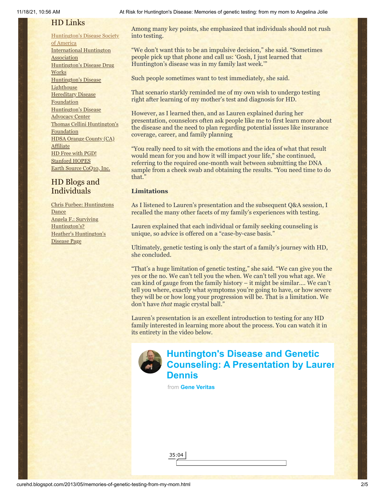## HD Links

[Huntington's](http://www.hdsa.org/) Disease Society of America [International](http://www.huntington-assoc.com/) Huntington **Association** [Huntington's](http://hddrugworks.org/) Disease Drug **Works** [Huntington's](http://www.hdlighthouse.org/) Disease **Lighthouse Hereditary Disease [Foundation](http://www.hdfoundation.org/)** [Huntington's](http://www.hdac.org/) Disease Advocacy Center Thomas [Cellini Huntington's](http://www.ourtchfoundation.org/) **Foundation** HDSA Orange County (CA) **[Affiliate](http://www.hdsaoc.org/)** HD Free with [PGD!](http://www.hdfreewithpgd.com/) [Stanford](http://www.stanford.edu/group/hopes/) HOPES Earth Source [CoQ10,](http://www.escoq10.com/) Inc.

## HD Blogs and Individuals

Chris Furbee: [Huntingtons](http://www.huntingtonsdance.org/) Dance Angela F.: Surviving [Huntington's?](http://survivinghuntingtons.blogspot.com/) Heather's [Huntington's](http://heatherdugdale.angelfire.com/) Disease Page

11/18/21, 10:56 AM At Risk for Huntington's Disease: Memories of genetic testing: from my mom to Angelina Jolie

Among many key points, she emphasized that individuals should not rush into testing.

"We don't want this to be an impulsive decision," she said. "Sometimes people pick up that phone and call us: 'Gosh, I just learned that Huntington's disease was in my family last week.'"

Such people sometimes want to test immediately, she said.

That scenario starkly reminded me of my own wish to undergo testing right after learning of my mother's test and diagnosis for HD.

However, as I learned then, and as Lauren explained during her presentation, counselors often ask people like me to first learn more about the disease and the need to plan regarding potential issues like insurance coverage, career, and family planning

"You really need to sit with the emotions and the idea of what that result would mean for you and how it will impact your life," she continued, referring to the required one-month wait between submitting the DNA sample from a cheek swab and obtaining the results. "You need time to do that."

## **Limitations**

As I listened to Lauren's presentation and the subsequent Q&A session, I recalled the many other facets of my family's experiences with testing.

Lauren explained that each individual or family seeking counseling is unique, so advice is offered on a "case-by-case basis."

Ultimately, genetic testing is only the start of a family's journey with HD, she concluded.

"That's a huge limitation of genetic testing," she said. "We can give you the yes or the no. We can't tell you the when. We can't tell you what age. We can kind of gauge from the family history – it might be similar…. We can't tell you where, exactly what symptoms you're going to have, or how severe they will be or how long your progression will be. That is a limitation. We don't have *that* magic crystal ball."

Lauren's presentation is an excellent introduction to testing for any HD family interested in learning more about the process. You can watch it in its entirety in the video below.



## **Huntington's Disease and Genetic [Counseling: A Presentation by Lauren](https://vimeo.com/66330954?embedded=true&source=video_title&owner=6019843) Dennis**

from **[Gene Veritas](https://vimeo.com/user6019843?embedded=true&source=owner_name&owner=6019843)**

35:04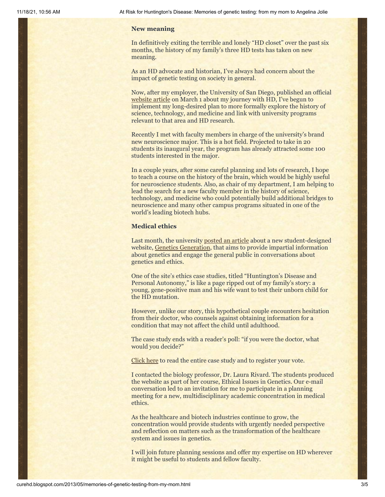#### **New meaning**

In definitively exiting the terrible and lonely "HD closet" over the past six months, the history of my family's three HD tests has taken on new meaning.

As an HD advocate and historian, I've always had concern about the impact of genetic testing on society in general.

Now, after my employer, the University of San Diego, published an official [website article](http://www.sandiego.edu/cas/news_events/feature_stories/kenneth_serbin.php) on March 1 about my journey with HD, I've begun to implement my long-desired plan to more formally explore the history of science, technology, and medicine and link with university programs relevant to that area and HD research.

Recently I met with faculty members in charge of the university's brand new neuroscience major. This is a hot field. Projected to take in 20 students its inaugural year, the program has already attracted some 100 students interested in the major.

In a couple years, after some careful planning and lots of research, I hope to teach a course on the history of the brain, which would be highly useful for neuroscience students. Also, as chair of my department, I am helping to lead the search for a new faculty member in the history of science, technology, and medicine who could potentially build additional bridges to neuroscience and many other campus programs situated in one of the world's leading biotech hubs.

#### **Medical ethics**

Last month, the university [posted an article](http://www.sandiego.edu/insideusd/?p=30385) about a new student-designed website, [Genetics Generation](http://knowgenetics.org/), that aims to provide impartial information about genetics and engage the general public in conversations about genetics and ethics.

One of the site's ethics case studies, titled "Huntington's Disease and Personal Autonomy," is like a page ripped out of my family's story: a young, gene-positive man and his wife want to test their unborn child for the HD mutation.

However, unlike our story, this hypothetical couple encounters hesitation from their doctor, who counsels against obtaining information for a condition that may not affect the child until adulthood.

The case study ends with a reader's poll: "if you were the doctor, what would you decide?"

[Click here](http://knowgenetics.org/case-study-huntingtons-disease-and-personal-autonomy/) to read the entire case study and to register your vote.

I contacted the biology professor, Dr. Laura Rivard. The students produced the website as part of her course, Ethical Issues in Genetics. Our e-mail conversation led to an invitation for me to participate in a planning meeting for a new, multidisciplinary academic concentration in medical ethics.

As the healthcare and biotech industries continue to grow, the concentration would provide students with urgently needed perspective and reflection on matters such as the transformation of the healthcare system and issues in genetics.

I will join future planning sessions and offer my expertise on HD wherever it might be useful to students and fellow faculty.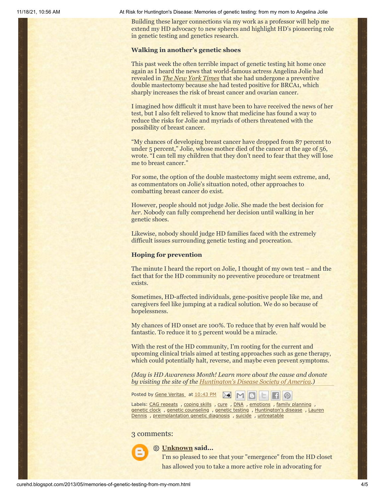11/18/21, 10:56 AM At Risk for Huntington's Disease: Memories of genetic testing: from my mom to Angelina Jolie

Building these larger connections via my work as a professor will help me extend my HD advocacy to new spheres and highlight HD's pioneering role in genetic testing and genetics research.

#### **Walking in another's genetic shoes**

This past week the often terrible impact of genetic testing hit home once again as I heard the news that world-famous actress Angelina Jolie had revealed in *[The New York Times](http://www.nytimes.com/2013/05/14/opinion/my-medical-choice.html)* that she had undergone a preventive double mastectomy because she had tested positive for BRCA1, which sharply increases the risk of breast cancer and ovarian cancer.

I imagined how difficult it must have been to have received the news of her test, but I also felt relieved to know that medicine has found a way to reduce the risks for Jolie and myriads of others threatened with the possibility of breast cancer.

"My chances of developing breast cancer have dropped from 87 percent to under 5 percent," Jolie, whose mother died of the cancer at the age of 56, wrote. "I can tell my children that they don't need to fear that they will lose me to breast cancer."

For some, the option of the double mastectomy might seem extreme, and, as commentators on Jolie's situation noted, other approaches to combatting breast cancer do exist.

However, people should not judge Jolie. She made the best decision for *her*. Nobody can fully comprehend her decision until walking in her genetic shoes.

Likewise, nobody should judge HD families faced with the extremely difficult issues surrounding genetic testing and procreation.

#### **Hoping for prevention**

The minute I heard the report on Jolie, I thought of my own test – and the fact that for the HD community no preventive procedure or treatment exists.

Sometimes, HD-affected individuals, gene-positive people like me, and caregivers feel like jumping at a radical solution. We do so because of hopelessness.

My chances of HD onset are 100%. To reduce that by even half would be fantastic. To reduce it to 5 percent would be a miracle.

With the rest of the HD community, I'm rooting for the current and upcoming clinical trials aimed at testing approaches such as gene therapy, which could potentially halt, reverse, and maybe even prevent symptoms.

*(May is HD Awareness Month! Learn more about the cause and donate by visiting the site of the [Huntington's Disease Society of America.](http://www.hdsa.org/))*

Posted by Gene [Veritas](https://www.blogger.com/profile/03599828959793084715) at [10:43](http://curehd.blogspot.com/2013/05/memories-of-genetic-testing-from-my-mom.html) PM ▶€  $M$ 

Labels: CAG [repeats](http://curehd.blogspot.com/search/label/CAG%20repeats) , [coping](http://curehd.blogspot.com/search/label/coping%20skills) skills , [cure](http://curehd.blogspot.com/search/label/cure) , [DNA](http://curehd.blogspot.com/search/label/DNA) , [emotions](http://curehd.blogspot.com/search/label/emotions) , family [planning](http://curehd.blogspot.com/search/label/family%20planning) , [genetic](http://curehd.blogspot.com/search/label/genetic%20clock) clock , genetic [counseling](http://curehd.blogspot.com/search/label/genetic%20counseling) , [genetic](http://curehd.blogspot.com/search/label/genetic%20testing) testing , [Huntington's](http://curehd.blogspot.com/search/label/Huntington%27s%20disease) disease , Lauren Dennis, [preimplantation](http://curehd.blogspot.com/search/label/Lauren%20Dennis) genetic diagnosis, [suicide](http://curehd.blogspot.com/search/label/suicide), [untreatable](http://curehd.blogspot.com/search/label/untreatable)

#### 3 comments:



## **[Unknown](https://www.blogger.com/profile/01836817456113764895) said...**

I'm so pleased to see that your "emergence" from the HD closet has allowed you to take a more active role in advocating for